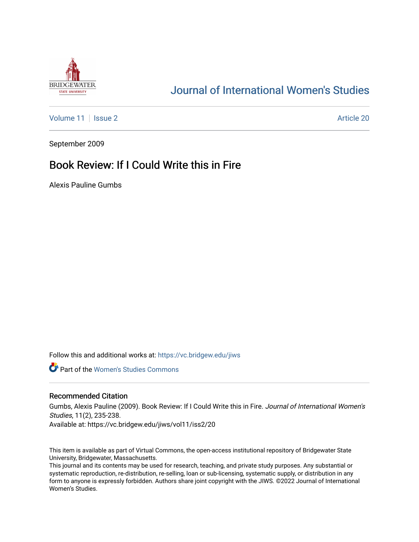

## [Journal of International Women's Studies](https://vc.bridgew.edu/jiws)

[Volume 11](https://vc.bridgew.edu/jiws/vol11) | [Issue 2](https://vc.bridgew.edu/jiws/vol11/iss2) Article 20

September 2009

## Book Review: If I Could Write this in Fire

Alexis Pauline Gumbs

Follow this and additional works at: [https://vc.bridgew.edu/jiws](https://vc.bridgew.edu/jiws?utm_source=vc.bridgew.edu%2Fjiws%2Fvol11%2Fiss2%2F20&utm_medium=PDF&utm_campaign=PDFCoverPages)

**Part of the Women's Studies Commons** 

## Recommended Citation

Gumbs, Alexis Pauline (2009). Book Review: If I Could Write this in Fire. Journal of International Women's Studies, 11(2), 235-238.

Available at: https://vc.bridgew.edu/jiws/vol11/iss2/20

This item is available as part of Virtual Commons, the open-access institutional repository of Bridgewater State University, Bridgewater, Massachusetts.

This journal and its contents may be used for research, teaching, and private study purposes. Any substantial or systematic reproduction, re-distribution, re-selling, loan or sub-licensing, systematic supply, or distribution in any form to anyone is expressly forbidden. Authors share joint copyright with the JIWS. ©2022 Journal of International Women's Studies.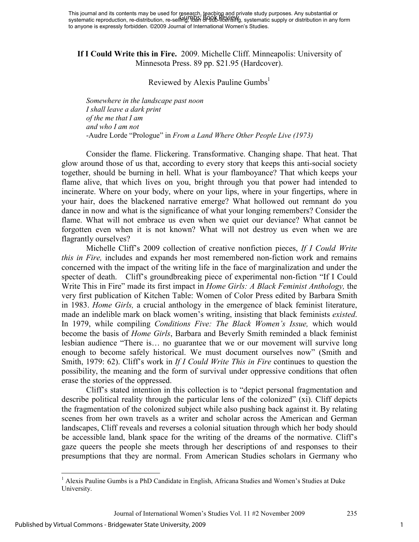## **If I Could Write this in Fire.** 2009. Michelle Cliff. Minneapolis: University of Minnesota Press. 89 pp. \$21.95 (Hardcover).

Reviewed by Alexis Pauline Gumbs<sup>1</sup>

*Somewhere in the landscape past noon I shall leave a dark print of the me that I am and who I am not*  -Audre Lorde "Prologue" in *From a Land Where Other People Live (1973)* 

Consider the flame. Flickering. Transformative. Changing shape. That heat. That glow around those of us that, according to every story that keeps this anti-social society together, should be burning in hell. What is your flamboyance? That which keeps your flame alive, that which lives on you, bright through you that power had intended to incinerate. Where on your body, where on your lips, where in your fingertips, where in your hair, does the blackened narrative emerge? What hollowed out remnant do you dance in now and what is the significance of what your longing remembers? Consider the flame. What will not embrace us even when we quiet our deviance? What cannot be forgotten even when it is not known? What will not destroy us even when we are flagrantly ourselves?

Michelle Cliff's 2009 collection of creative nonfiction pieces, *If I Could Write this in Fire,* includes and expands her most remembered non-fiction work and remains concerned with the impact of the writing life in the face of marginalization and under the specter of death. Cliff's groundbreaking piece of experimental non-fiction "If I Could Write This in Fire" made its first impact in *Home Girls: A Black Feminist Anthology,* the very first publication of Kitchen Table: Women of Color Press edited by Barbara Smith in 1983. *Home Girls,* a crucial anthology in the emergence of black feminist literature, made an indelible mark on black women's writing, insisting that black feminists *existed*. In 1979, while compiling *Conditions Five: The Black Women's Issue,* which would become the basis of *Home Girls*, Barbara and Beverly Smith reminded a black feminist lesbian audience "There is… no guarantee that we or our movement will survive long enough to become safely historical. We must document ourselves now" (Smith and Smith, 1979: 62). Cliff's work in *If I Could Write This in Fire* continues to question the possibility, the meaning and the form of survival under oppressive conditions that often erase the stories of the oppressed.

 Cliff's stated intention in this collection is to "depict personal fragmentation and describe political reality through the particular lens of the colonized" (xi). Cliff depicts the fragmentation of the colonized subject while also pushing back against it. By relating scenes from her own travels as a writer and scholar across the American and German landscapes, Cliff reveals and reverses a colonial situation through which her body should be accessible land, blank space for the writing of the dreams of the normative. Cliff's gaze queers the people she meets through her descriptions of and responses to their presumptions that they are normal. From American Studies scholars in Germany who

 $\overline{a}$ 

<sup>&</sup>lt;sup>1</sup> Alexis Pauline Gumbs is a PhD Candidate in English, Africana Studies and Women's Studies at Duke University.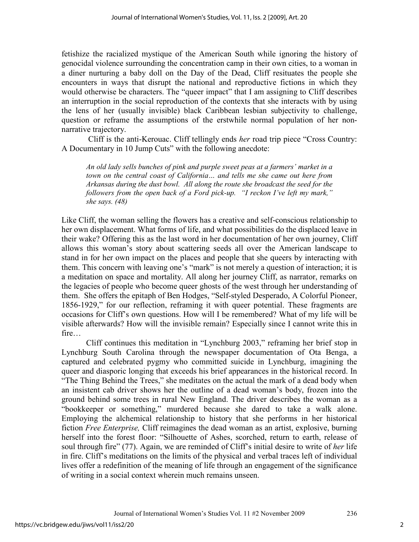fetishize the racialized mystique of the American South while ignoring the history of genocidal violence surrounding the concentration camp in their own cities, to a woman in a diner nurturing a baby doll on the Day of the Dead, Cliff resituates the people she encounters in ways that disrupt the national and reproductive fictions in which they would otherwise be characters. The "queer impact" that I am assigning to Cliff describes an interruption in the social reproduction of the contexts that she interacts with by using the lens of her (usually invisible) black Caribbean lesbian subjectivity to challenge, question or reframe the assumptions of the erstwhile normal population of her nonnarrative trajectory.

 Cliff is the anti-Kerouac. Cliff tellingly ends *her* road trip piece "Cross Country: A Documentary in 10 Jump Cuts" with the following anecdote:

*An old lady sells bunches of pink and purple sweet peas at a farmers' market in a town on the central coast of California… and tells me she came out here from Arkansas during the dust bowl. All along the route she broadcast the seed for the followers from the open back of a Ford pick-up. "I reckon I've left my mark," she says. (48)* 

Like Cliff, the woman selling the flowers has a creative and self-conscious relationship to her own displacement. What forms of life, and what possibilities do the displaced leave in their wake? Offering this as the last word in her documentation of her own journey, Cliff allows this woman's story about scattering seeds all over the American landscape to stand in for her own impact on the places and people that she queers by interacting with them. This concern with leaving one's "mark" is not merely a question of interaction; it is a meditation on space and mortality. All along her journey Cliff, as narrator, remarks on the legacies of people who become queer ghosts of the west through her understanding of them. She offers the epitaph of Ben Hodges, "Self-styled Desperado, A Colorful Pioneer, 1856-1929," for our reflection, reframing it with queer potential. These fragments are occasions for Cliff's own questions. How will I be remembered? What of my life will be visible afterwards? How will the invisible remain? Especially since I cannot write this in fire…

 Cliff continues this meditation in "Lynchburg 2003," reframing her brief stop in Lynchburg South Carolina through the newspaper documentation of Ota Benga, a captured and celebrated pygmy who committed suicide in Lynchburg, imagining the queer and diasporic longing that exceeds his brief appearances in the historical record. In "The Thing Behind the Trees," she meditates on the actual the mark of a dead body when an insistent cab driver shows her the outline of a dead woman's body, frozen into the ground behind some trees in rural New England. The driver describes the woman as a "bookkeeper or something," murdered because she dared to take a walk alone. Employing the alchemical relationship to history that she performs in her historical fiction *Free Enterprise,* Cliff reimagines the dead woman as an artist, explosive, burning herself into the forest floor: "Silhouette of Ashes, scorched, return to earth, release of soul through fire" (77). Again, we are reminded of Cliff's initial desire to write of *her* life in fire. Cliff's meditations on the limits of the physical and verbal traces left of individual lives offer a redefinition of the meaning of life through an engagement of the significance of writing in a social context wherein much remains unseen.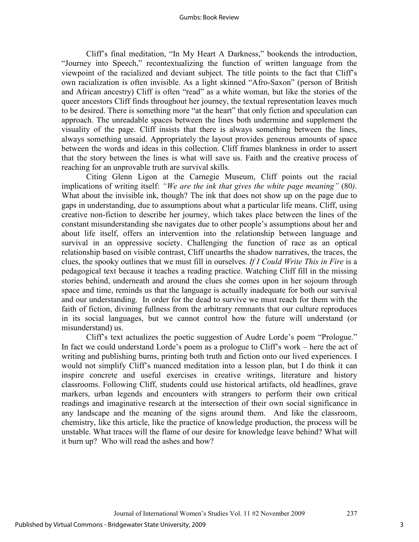Cliff's final meditation, "In My Heart A Darkness," bookends the introduction, "Journey into Speech," recontextualizing the function of written language from the viewpoint of the racialized and deviant subject. The title points to the fact that Cliff's own racialization is often invisible. As a light skinned "Afro-Saxon" (person of British and African ancestry) Cliff is often "read" as a white woman, but like the stories of the queer ancestors Cliff finds throughout her journey, the textual representation leaves much to be desired. There is something more "at the heart" that only fiction and speculation can approach. The unreadable spaces between the lines both undermine and supplement the visuality of the page. Cliff insists that there is always something between the lines, always something unsaid. Appropriately the layout provides generous amounts of space between the words and ideas in this collection. Cliff frames blankness in order to assert that the story between the lines is what will save us. Faith and the creative process of reaching for an unprovable truth are survival skills.

Citing Glenn Ligon at the Carnegie Museum, Cliff points out the racial implications of writing itself: *"We are the ink that gives the white page meaning"* (80*)*. What about the invisible ink, though? The ink that does not show up on the page due to gaps in understanding, due to assumptions about what a particular life means. Cliff, using creative non-fiction to describe her journey, which takes place between the lines of the constant misunderstanding she navigates due to other people's assumptions about her and about life itself, offers an intervention into the relationship between language and survival in an oppressive society. Challenging the function of race as an optical relationship based on visible contrast, Cliff unearths the shadow narratives, the traces, the clues, the spooky outlines that we must fill in ourselves. *If I Could Write This in Fire* is a pedagogical text because it teaches a reading practice. Watching Cliff fill in the missing stories behind, underneath and around the clues she comes upon in her sojourn through space and time, reminds us that the language is actually inadequate for both our survival and our understanding. In order for the dead to survive we must reach for them with the faith of fiction, divining fullness from the arbitrary remnants that our culture reproduces in its social languages, but we cannot control how the future will understand (or misunderstand) us.

Cliff's text actualizes the poetic suggestion of Audre Lorde's poem "Prologue." In fact we could understand Lorde's poem as a prologue to Cliff's work – here the act of writing and publishing burns, printing both truth and fiction onto our lived experiences. I would not simplify Cliff's nuanced meditation into a lesson plan, but I do think it can inspire concrete and useful exercises in creative writings, literature and history classrooms. Following Cliff, students could use historical artifacts, old headlines, grave markers, urban legends and encounters with strangers to perform their own critical readings and imaginative research at the intersection of their own social significance in any landscape and the meaning of the signs around them. And like the classroom, chemistry, like this article, like the practice of knowledge production, the process will be unstable. What traces will the flame of our desire for knowledge leave behind? What will it burn up? Who will read the ashes and how?